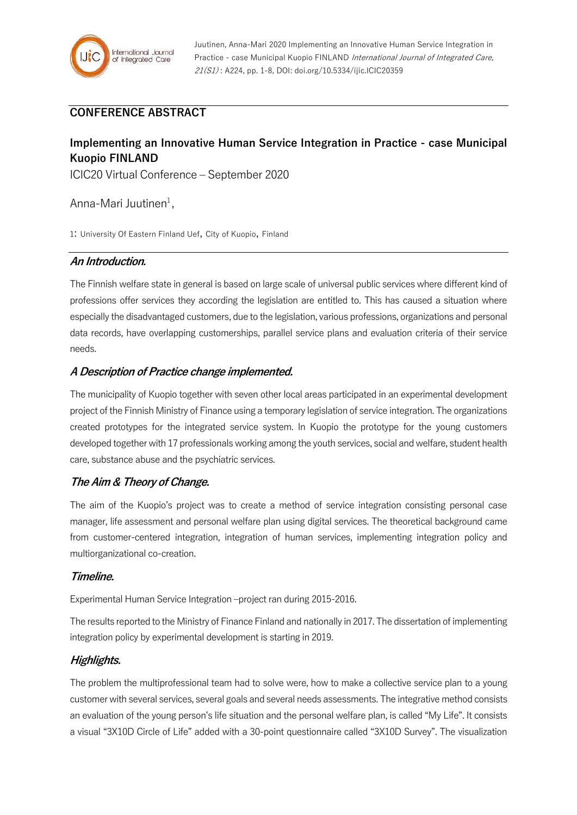

Juutinen, Anna-Mari 2020 Implementing an Innovative Human Service Integration in Practice - case Municipal Kuopio FINLAND International Journal of Integrated Care, 21(S1) : A224, pp. 1-8, DOI: doi.org/10.5334/ijic.ICIC20359

# **CONFERENCE ABSTRACT**

# **Implementing an Innovative Human Service Integration in Practice - case Municipal Kuopio FINLAND**

ICIC20 Virtual Conference – September 2020

Anna-Mari Juutinen<sup>1</sup>,

1: University Of Eastern Finland Uef, City of Kuopio, Finland

## **An Introduction.**

The Finnish welfare state in general is based on large scale of universal public services where different kind of professions offer services they according the legislation are entitled to. This has caused a situation where especially the disadvantaged customers, due to the legislation, various professions, organizations and personal data records, have overlapping customerships, parallel service plans and evaluation criteria of their service needs.

## **A Description of Practice change implemented.**

The municipality of Kuopio together with seven other local areas participated in an experimental development project of the Finnish Ministry of Finance using a temporary legislation of service integration. The organizations created prototypes for the integrated service system. In Kuopio the prototype for the young customers developed together with 17 professionals working among the youth services, social and welfare, student health care, substance abuse and the psychiatric services.

#### **The Aim & Theory of Change.**

The aim of the Kuopio's project was to create a method of service integration consisting personal case manager, life assessment and personal welfare plan using digital services. The theoretical background came from customer-centered integration, integration of human services, implementing integration policy and multiorganizational co-creation.

#### **Timeline.**

Experimental Human Service Integration –project ran during 2015-2016.

The results reported to the Ministry of Finance Finland and nationally in 2017. The dissertation of implementing integration policy by experimental development is starting in 2019.

# **Highlights.**

The problem the multiprofessional team had to solve were, how to make a collective service plan to a young customer with several services, several goals and several needs assessments. The integrative method consists an evaluation of the young person's life situation and the personal welfare plan, is called "My Life". It consists a visual "3X10D Circle of Life" added with a 30-point questionnaire called "3X10D Survey". The visualization